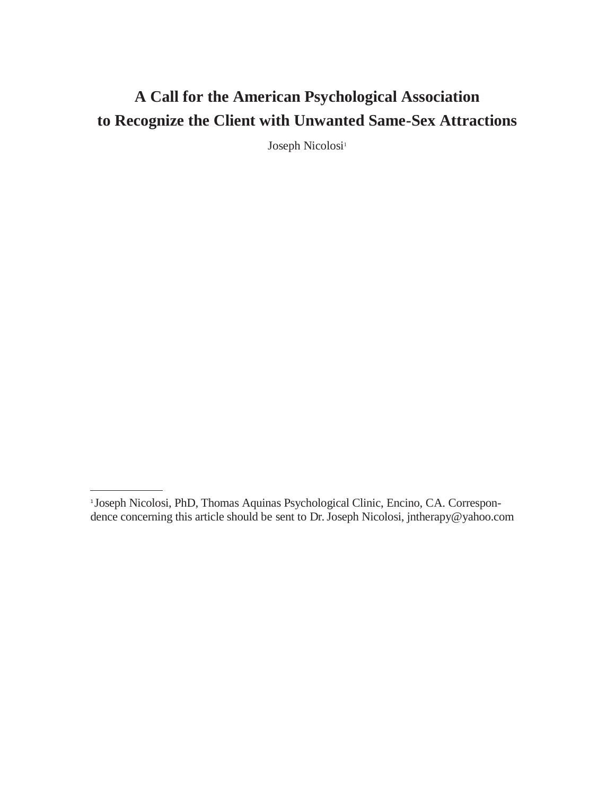# **A Call for the American Psychological Association to Recognize the Client with Unwanted Same-Sex Attractions**

Joseph Nicolosi<sup>1</sup>

<sup>1</sup> Joseph Nicolosi, PhD, Thomas Aquinas Psychological Clinic, Encino, CA. Correspondence concerning this article should be sent to Dr. Joseph Nicolosi, [jntherapy@yahoo.com](mailto:jntherapy@yahoo.com)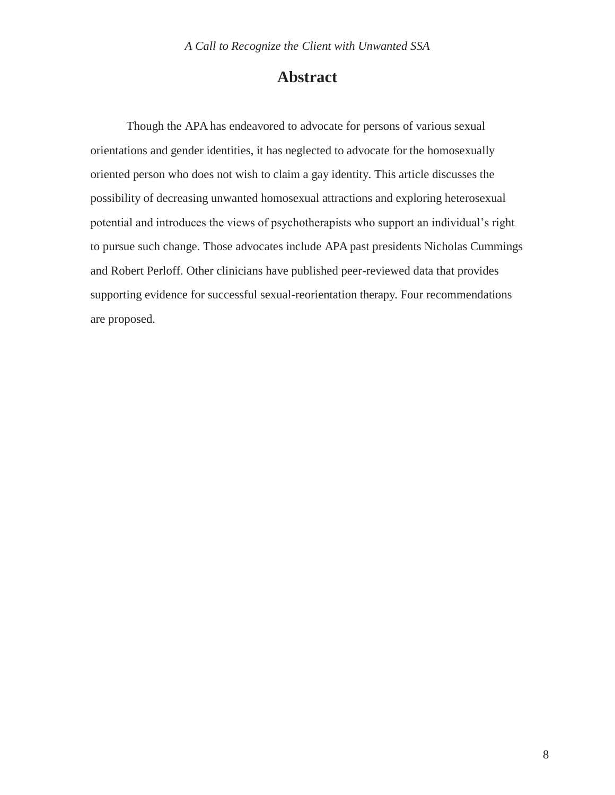## **Abstract**

Though the APA has endeavored to advocate for persons of various sexual orientations and gender identities, it has neglected to advocate for the homosexually oriented person who does not wish to claim a gay identity. This article discusses the possibility of decreasing unwanted homosexual attractions and exploring heterosexual potential and introduces the views of psychotherapists who support an individual's right to pursue such change. Those advocates include APA past presidents Nicholas Cummings and Robert Perloff. Other clinicians have published peer-reviewed data that provides supporting evidence for successful sexual-reorientation therapy. Four recommendations are proposed.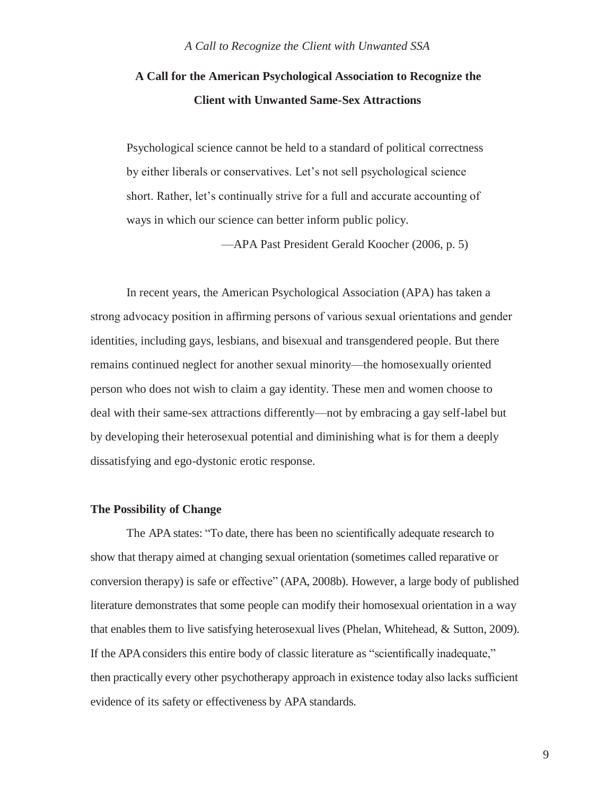## **A Call for the American Psychological Association to Recognize the Client with Unwanted Same-Sex Attractions**

Psychological science cannot be held to a standard of political correctness by either liberals or conservatives. Let's not sell psychological science short. Rather, let's continually strive for a full and accurate accounting of ways in which our science can better inform public policy.

—APA Past President Gerald Koocher (2006, p. 5)

In recent years, the American Psychological Association (APA) has taken a strong advocacy position in affirming persons of various sexual orientations and gender identities, including gays, lesbians, and bisexual and transgendered people. But there remains continued neglect for another sexual minority—the homosexually oriented person who does not wish to claim a gay identity. These men and women choose to deal with their same-sex attractions differently—not by embracing a gay self-label but by developing their heterosexual potential and diminishing what is for them a deeply dissatisfying and ego-dystonic erotic response.

#### **The Possibility of Change**

The APA states: "To date, there has been no scientifically adequate research to show that therapy aimed at changing sexual orientation (sometimes called reparative or conversion therapy) is safe or effective" (APA, 2008b). However, a large body of published literature demonstrates that some people can modify their homosexual orientation in a way that enables them to live satisfying heterosexual lives (Phelan, Whitehead, & Sutton, 2009). If the APAconsiders this entire body of classic literature as "scientifically inadequate," then practically every other psychotherapy approach in existence today also lacks sufficient evidence of its safety or effectiveness by APA standards.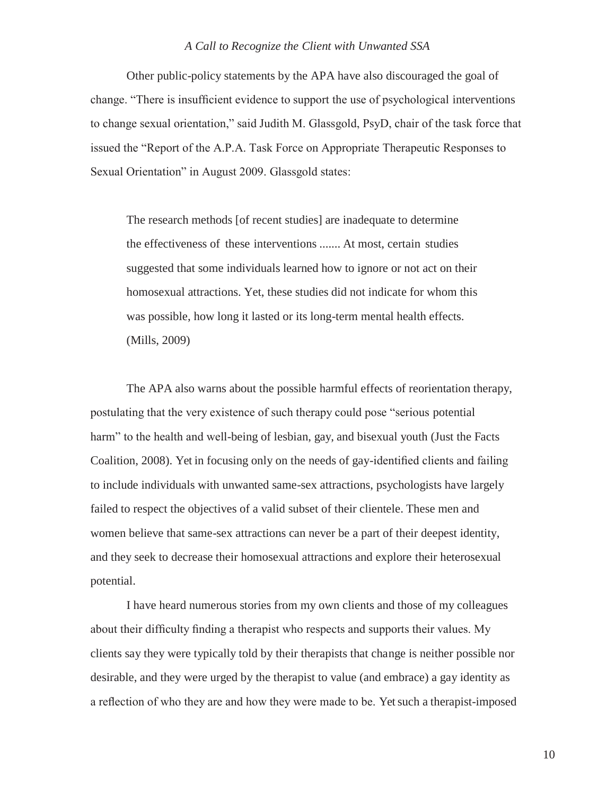Other public-policy statements by the APA have also discouraged the goal of change. "There is insufficient evidence to support the use of psychological interventions to change sexual orientation," said Judith M. Glassgold, PsyD, chair of the task force that issued the "Report of the A.P.A. Task Force on Appropriate Therapeutic Responses to Sexual Orientation" in August 2009. Glassgold states:

The research methods [of recent studies] are inadequate to determine the effectiveness of these interventions ....... At most, certain studies suggested that some individuals learned how to ignore or not act on their homosexual attractions. Yet, these studies did not indicate for whom this was possible, how long it lasted or its long-term mental health effects. (Mills, 2009)

The APA also warns about the possible harmful effects of reorientation therapy, postulating that the very existence of such therapy could pose "serious potential harm" to the health and well-being of lesbian, gay, and bisexual youth (Just the Facts Coalition, 2008). Yet in focusing only on the needs of gay-identified clients and failing to include individuals with unwanted same-sex attractions, psychologists have largely failed to respect the objectives of a valid subset of their clientele. These men and women believe that same-sex attractions can never be a part of their deepest identity, and they seek to decrease their homosexual attractions and explore their heterosexual potential.

I have heard numerous stories from my own clients and those of my colleagues about their difficulty finding a therapist who respects and supports their values. My clients say they were typically told by their therapists that change is neither possible nor desirable, and they were urged by the therapist to value (and embrace) a gay identity as a reflection of who they are and how they were made to be. Yet such a therapist-imposed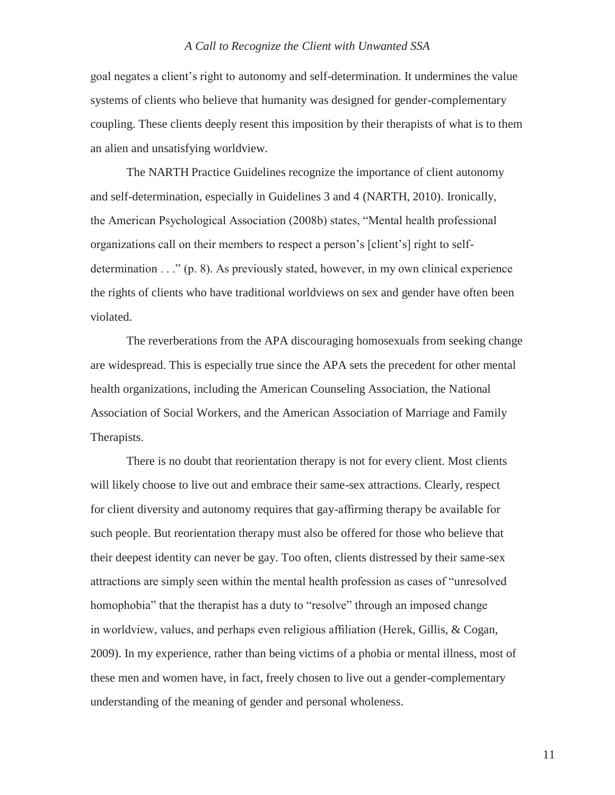goal negates a client's right to autonomy and self-determination. It undermines the value systems of clients who believe that humanity was designed for gender-complementary coupling. These clients deeply resent this imposition by their therapists of what is to them an alien and unsatisfying worldview.

The NARTH Practice Guidelines recognize the importance of client autonomy and self-determination, especially in Guidelines 3 and 4 (NARTH, 2010). Ironically, the American Psychological Association (2008b) states, "Mental health professional organizations call on their members to respect a person's [client's] right to selfdetermination . . ." (p. 8). As previously stated, however, in my own clinical experience the rights of clients who have traditional worldviews on sex and gender have often been violated.

The reverberations from the APA discouraging homosexuals from seeking change are widespread. This is especially true since the APA sets the precedent for other mental health organizations, including the American Counseling Association, the National Association of Social Workers, and the American Association of Marriage and Family Therapists.

There is no doubt that reorientation therapy is not for every client. Most clients will likely choose to live out and embrace their same-sex attractions. Clearly, respect for client diversity and autonomy requires that gay-affirming therapy be available for such people. But reorientation therapy must also be offered for those who believe that their deepest identity can never be gay. Too often, clients distressed by their same-sex attractions are simply seen within the mental health profession as cases of "unresolved homophobia" that the therapist has a duty to "resolve" through an imposed change in worldview, values, and perhaps even religious affiliation (Herek, Gillis, & Cogan, 2009). In my experience, rather than being victims of a phobia or mental illness, most of these men and women have, in fact, freely chosen to live out a gender-complementary understanding of the meaning of gender and personal wholeness.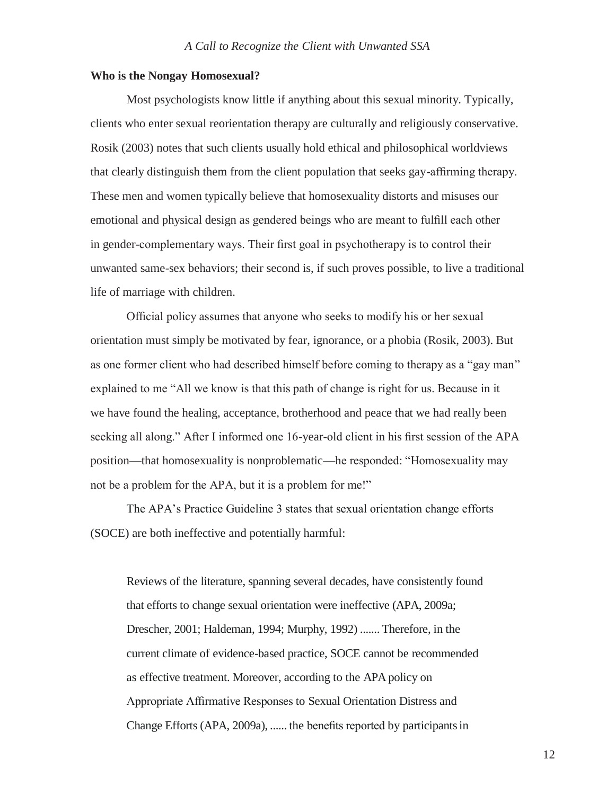#### **Who is the Nongay Homosexual?**

Most psychologists know little if anything about this sexual minority. Typically, clients who enter sexual reorientation therapy are culturally and religiously conservative. Rosik (2003) notes that such clients usually hold ethical and philosophical worldviews that clearly distinguish them from the client population that seeks gay-affirming therapy. These men and women typically believe that homosexuality distorts and misuses our emotional and physical design as gendered beings who are meant to fulfill each other in gender-complementary ways. Their first goal in psychotherapy is to control their unwanted same-sex behaviors; their second is, if such proves possible, to live a traditional life of marriage with children.

Official policy assumes that anyone who seeks to modify his or her sexual orientation must simply be motivated by fear, ignorance, or a phobia (Rosik, 2003). But as one former client who had described himself before coming to therapy as a "gay man" explained to me "All we know is that this path of change is right for us. Because in it we have found the healing, acceptance, brotherhood and peace that we had really been seeking all along." After I informed one 16-year-old client in his first session of the APA position—that homosexuality is nonproblematic—he responded: "Homosexuality may not be a problem for the APA, but it is a problem for me!"

The APA's Practice Guideline 3 states that sexual orientation change efforts (SOCE) are both ineffective and potentially harmful:

Reviews of the literature, spanning several decades, have consistently found that efforts to change sexual orientation were ineffective (APA, 2009a; Drescher, 2001; Haldeman, 1994; Murphy, 1992) ....... Therefore, in the current climate of evidence-based practice, SOCE cannot be recommended as effective treatment. Moreover, according to the APA policy on Appropriate Affirmative Responses to Sexual Orientation Distress and Change Efforts (APA, 2009a), ...... the benefits reported by participantsin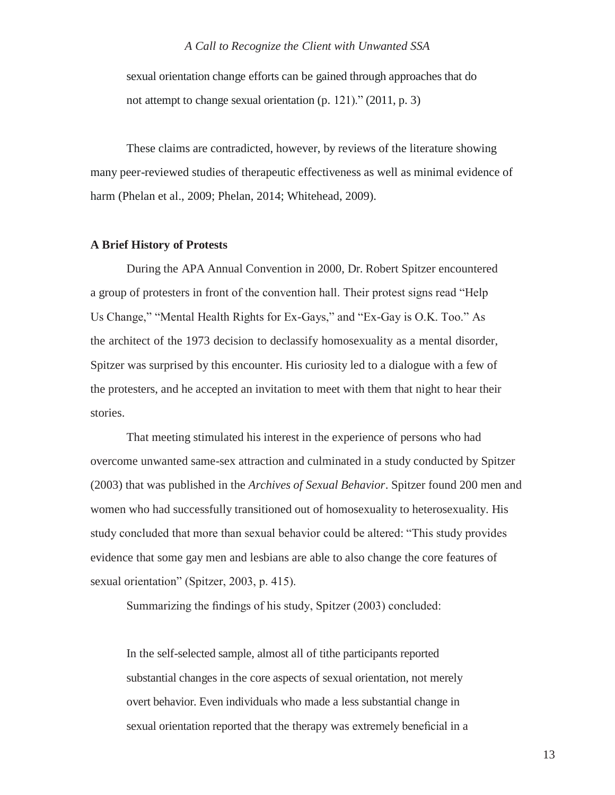sexual orientation change efforts can be gained through approaches that do not attempt to change sexual orientation (p. 121)." (2011, p. 3)

These claims are contradicted, however, by reviews of the literature showing many peer-reviewed studies of therapeutic effectiveness as well as minimal evidence of harm (Phelan et al., 2009; Phelan, 2014; Whitehead, 2009).

#### **A Brief History of Protests**

During the APA Annual Convention in 2000, Dr. Robert Spitzer encountered a group of protesters in front of the convention hall. Their protest signs read "Help Us Change," "Mental Health Rights for Ex-Gays," and "Ex-Gay is O.K. Too." As the architect of the 1973 decision to declassify homosexuality as a mental disorder, Spitzer was surprised by this encounter. His curiosity led to a dialogue with a few of the protesters, and he accepted an invitation to meet with them that night to hear their stories.

That meeting stimulated his interest in the experience of persons who had overcome unwanted same-sex attraction and culminated in a study conducted by Spitzer (2003) that was published in the *Archives of Sexual Behavior*. Spitzer found 200 men and women who had successfully transitioned out of homosexuality to heterosexuality. His study concluded that more than sexual behavior could be altered: "This study provides evidence that some gay men and lesbians are able to also change the core features of sexual orientation" (Spitzer, 2003, p. 415).

Summarizing the findings of his study, Spitzer (2003) concluded:

In the self-selected sample, almost all of tithe participants reported substantial changes in the core aspects of sexual orientation, not merely overt behavior. Even individuals who made a less substantial change in sexual orientation reported that the therapy was extremely beneficial in a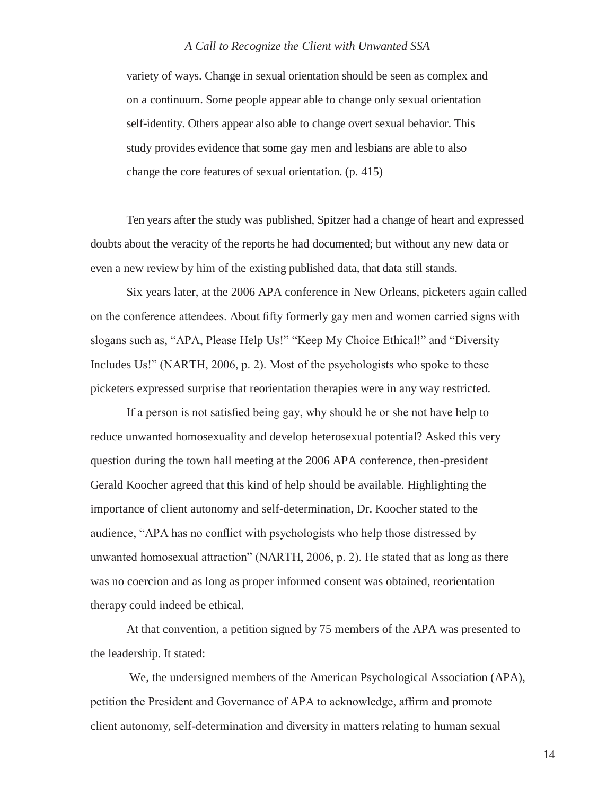variety of ways. Change in sexual orientation should be seen as complex and on a continuum. Some people appear able to change only sexual orientation self-identity. Others appear also able to change overt sexual behavior. This study provides evidence that some gay men and lesbians are able to also change the core features of sexual orientation. (p. 415)

Ten years after the study was published, Spitzer had a change of heart and expressed doubts about the veracity of the reports he had documented; but without any new data or even a new review by him of the existing published data, that data still stands.

Six years later, at the 2006 APA conference in New Orleans, picketers again called on the conference attendees. About fifty formerly gay men and women carried signs with slogans such as, "APA, Please Help Us!" "Keep My Choice Ethical!" and "Diversity Includes Us!" (NARTH, 2006, p. 2). Most of the psychologists who spoke to these picketers expressed surprise that reorientation therapies were in any way restricted.

If a person is not satisfied being gay, why should he or she not have help to reduce unwanted homosexuality and develop heterosexual potential? Asked this very question during the town hall meeting at the 2006 APA conference, then-president Gerald Koocher agreed that this kind of help should be available. Highlighting the importance of client autonomy and self-determination, Dr. Koocher stated to the audience, "APA has no conflict with psychologists who help those distressed by unwanted homosexual attraction" (NARTH, 2006, p. 2). He stated that as long as there was no coercion and as long as proper informed consent was obtained, reorientation therapy could indeed be ethical.

At that convention, a petition signed by 75 members of the APA was presented to the leadership. It stated:

We, the undersigned members of the American Psychological Association (APA), petition the President and Governance of APA to acknowledge, affirm and promote client autonomy, self-determination and diversity in matters relating to human sexual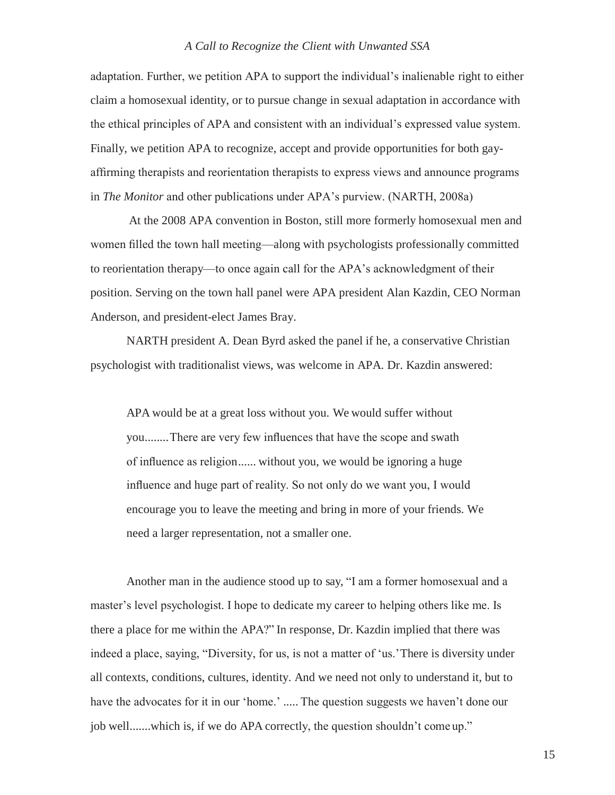adaptation. Further, we petition APA to support the individual's inalienable right to either claim a homosexual identity, or to pursue change in sexual adaptation in accordance with the ethical principles of APA and consistent with an individual's expressed value system. Finally, we petition APA to recognize, accept and provide opportunities for both gayaffirming therapists and reorientation therapists to express views and announce programs in *The Monitor* and other publications under APA's purview. (NARTH, 2008a)

At the 2008 APA convention in Boston, still more formerly homosexual men and women filled the town hall meeting—along with psychologists professionally committed to reorientation therapy—to once again call for the APA's acknowledgment of their position. Serving on the town hall panel were APA president Alan Kazdin, CEO Norman Anderson, and president-elect James Bray.

NARTH president A. Dean Byrd asked the panel if he, a conservative Christian psychologist with traditionalist views, was welcome in APA. Dr. Kazdin answered:

APA would be at a great loss without you. We would suffer without you........There are very few influences that have the scope and swath of influence as religion...... without you, we would be ignoring a huge influence and huge part of reality. So not only do we want you, I would encourage you to leave the meeting and bring in more of your friends. We need a larger representation, not a smaller one.

Another man in the audience stood up to say, "I am a former homosexual and a master's level psychologist. I hope to dedicate my career to helping others like me. Is there a place for me within the APA?" In response, Dr. Kazdin implied that there was indeed a place, saying, "Diversity, for us, is not a matter of 'us.'There is diversity under all contexts, conditions, cultures, identity. And we need not only to understand it, but to have the advocates for it in our 'home.' ..... The question suggests we haven't done our job well.......which is, if we do APA correctly, the question shouldn't come up."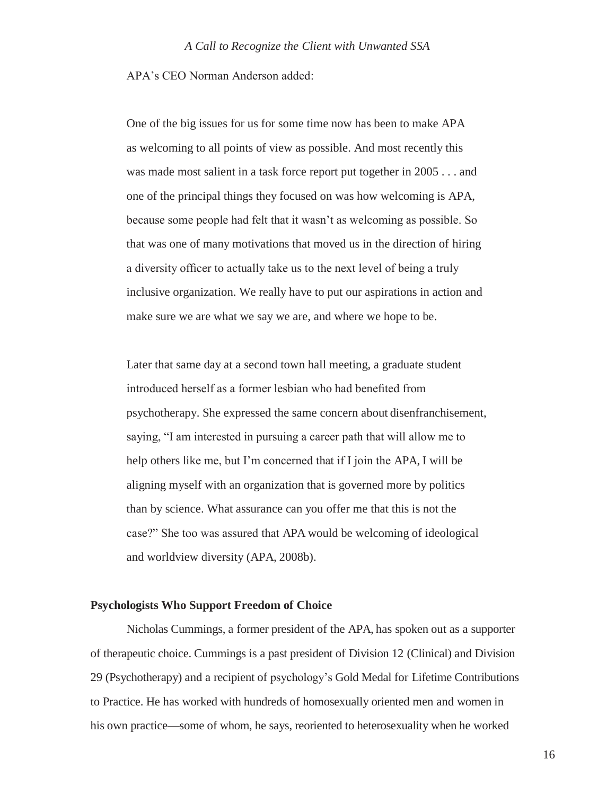APA's CEO Norman Anderson added:

One of the big issues for us for some time now has been to make APA as welcoming to all points of view as possible. And most recently this was made most salient in a task force report put together in 2005 . . . and one of the principal things they focused on was how welcoming is APA, because some people had felt that it wasn't as welcoming as possible. So that was one of many motivations that moved us in the direction of hiring a diversity officer to actually take us to the next level of being a truly inclusive organization. We really have to put our aspirations in action and make sure we are what we say we are, and where we hope to be.

Later that same day at a second town hall meeting, a graduate student introduced herself as a former lesbian who had benefited from psychotherapy. She expressed the same concern about disenfranchisement, saying, "I am interested in pursuing a career path that will allow me to help others like me, but I'm concerned that if I join the APA, I will be aligning myself with an organization that is governed more by politics than by science. What assurance can you offer me that this is not the case?" She too was assured that APA would be welcoming of ideological and worldview diversity (APA, 2008b).

#### **Psychologists Who Support Freedom of Choice**

Nicholas Cummings, a former president of the APA, has spoken out as a supporter of therapeutic choice. Cummings is a past president of Division 12 (Clinical) and Division 29 (Psychotherapy) and a recipient of psychology's Gold Medal for Lifetime Contributions to Practice. He has worked with hundreds of homosexually oriented men and women in his own practice—some of whom, he says, reoriented to heterosexuality when he worked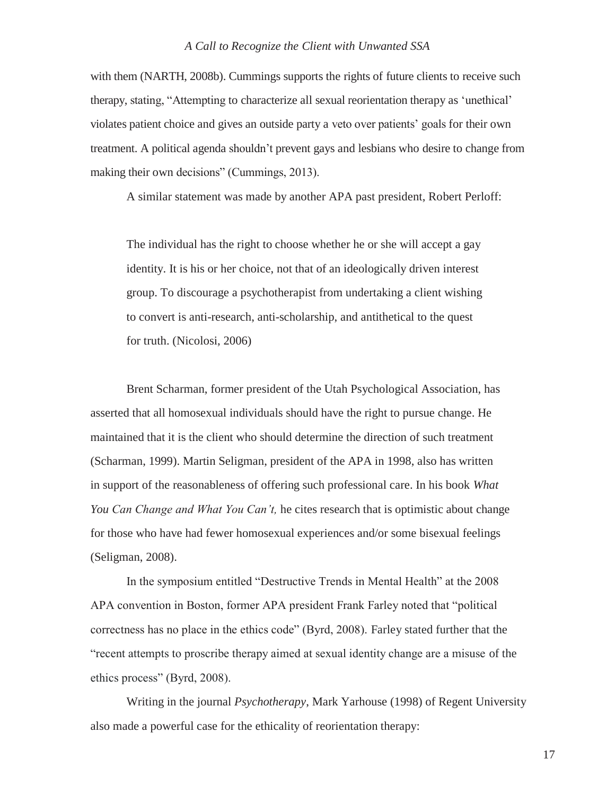with them (NARTH, 2008b). Cummings supports the rights of future clients to receive such therapy, stating, "Attempting to characterize all sexual reorientation therapy as 'unethical' violates patient choice and gives an outside party a veto over patients' goals for their own treatment. A political agenda shouldn't prevent gays and lesbians who desire to change from making their own decisions" (Cummings, 2013).

A similar statement was made by another APA past president, Robert Perloff:

The individual has the right to choose whether he or she will accept a gay identity. It is his or her choice, not that of an ideologically driven interest group. To discourage a psychotherapist from undertaking a client wishing to convert is anti-research, anti-scholarship, and antithetical to the quest for truth. (Nicolosi, 2006)

Brent Scharman, former president of the Utah Psychological Association, has asserted that all homosexual individuals should have the right to pursue change. He maintained that it is the client who should determine the direction of such treatment (Scharman, 1999). Martin Seligman, president of the APA in 1998, also has written in support of the reasonableness of offering such professional care. In his book *What You Can Change and What You Can't,* he cites research that is optimistic about change for those who have had fewer homosexual experiences and/or some bisexual feelings (Seligman, 2008).

In the symposium entitled "Destructive Trends in Mental Health" at the 2008 APA convention in Boston, former APA president Frank Farley noted that "political correctness has no place in the ethics code" (Byrd, 2008). Farley stated further that the "recent attempts to proscribe therapy aimed at sexual identity change are a misuse of the ethics process" (Byrd, 2008).

Writing in the journal *Psychotherapy*, Mark Yarhouse (1998) of Regent University also made a powerful case for the ethicality of reorientation therapy: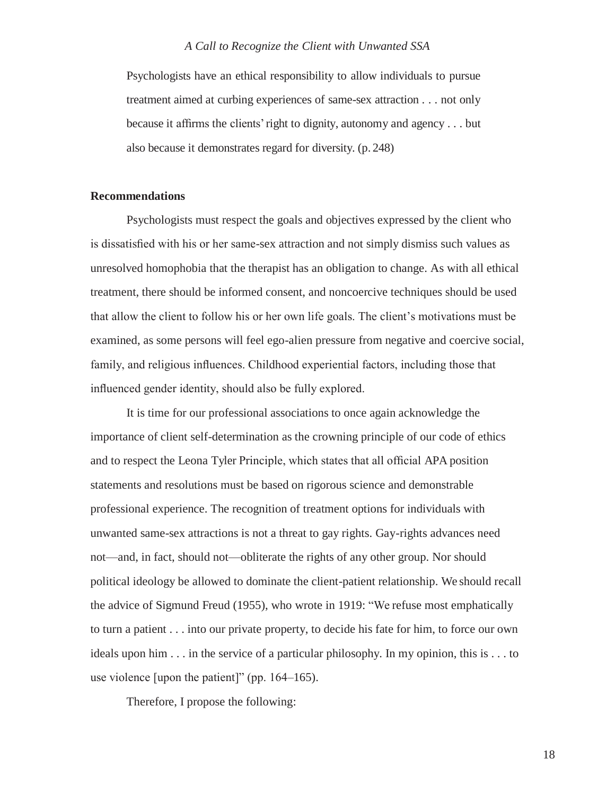Psychologists have an ethical responsibility to allow individuals to pursue treatment aimed at curbing experiences of same-sex attraction . . . not only because it affirms the clients'right to dignity, autonomy and agency . . . but also because it demonstrates regard for diversity. (p. 248)

#### **Recommendations**

Psychologists must respect the goals and objectives expressed by the client who is dissatisfied with his or her same-sex attraction and not simply dismiss such values as unresolved homophobia that the therapist has an obligation to change. As with all ethical treatment, there should be informed consent, and noncoercive techniques should be used that allow the client to follow his or her own life goals. The client's motivations must be examined, as some persons will feel ego-alien pressure from negative and coercive social, family, and religious influences. Childhood experiential factors, including those that influenced gender identity, should also be fully explored.

It is time for our professional associations to once again acknowledge the importance of client self-determination as the crowning principle of our code of ethics and to respect the Leona Tyler Principle, which states that all official APA position statements and resolutions must be based on rigorous science and demonstrable professional experience. The recognition of treatment options for individuals with unwanted same-sex attractions is not a threat to gay rights. Gay-rights advances need not—and, in fact, should not—obliterate the rights of any other group. Nor should political ideology be allowed to dominate the client-patient relationship. We should recall the advice of Sigmund Freud (1955), who wrote in 1919: "We refuse most emphatically to turn a patient . . . into our private property, to decide his fate for him, to force our own ideals upon him . . . in the service of a particular philosophy. In my opinion, this is . . . to use violence [upon the patient]" (pp. 164–165).

Therefore, I propose the following: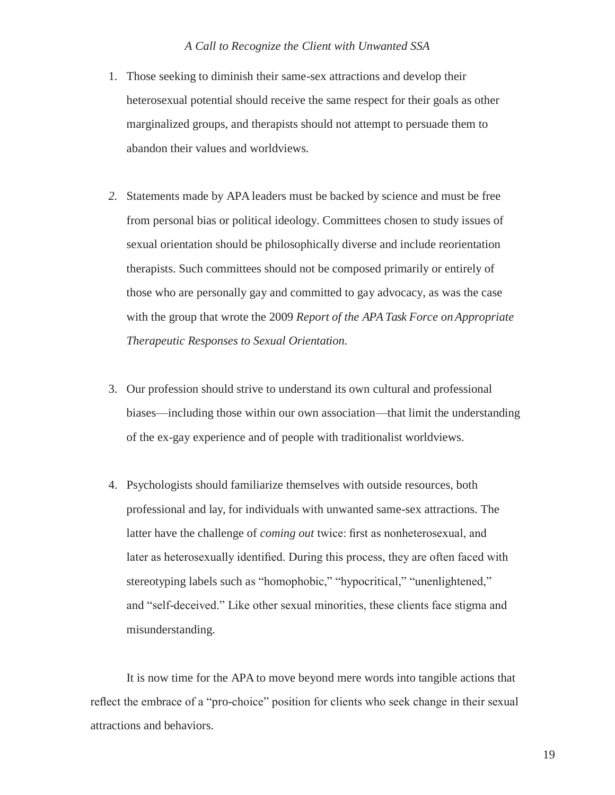- 1. Those seeking to diminish their same-sex attractions and develop their heterosexual potential should receive the same respect for their goals as other marginalized groups, and therapists should not attempt to persuade them to abandon their values and worldviews.
- *2.* Statements made by APA leaders must be backed by science and must be free from personal bias or political ideology. Committees chosen to study issues of sexual orientation should be philosophically diverse and include reorientation therapists. Such committees should not be composed primarily or entirely of those who are personally gay and committed to gay advocacy, as was the case with the group that wrote the 2009 *Report of the APA Task Force on Appropriate Therapeutic Responses to Sexual Orientation.*
- 3. Our profession should strive to understand its own cultural and professional biases—including those within our own association—that limit the understanding of the ex-gay experience and of people with traditionalist worldviews.
- 4. Psychologists should familiarize themselves with outside resources, both professional and lay, for individuals with unwanted same-sex attractions. The latter have the challenge of *coming out* twice: first as nonheterosexual, and later as heterosexually identified. During this process, they are often faced with stereotyping labels such as "homophobic," "hypocritical," "unenlightened," and "self-deceived." Like other sexual minorities, these clients face stigma and misunderstanding.

It is now time for the APA to move beyond mere words into tangible actions that reflect the embrace of a "pro-choice" position for clients who seek change in their sexual attractions and behaviors.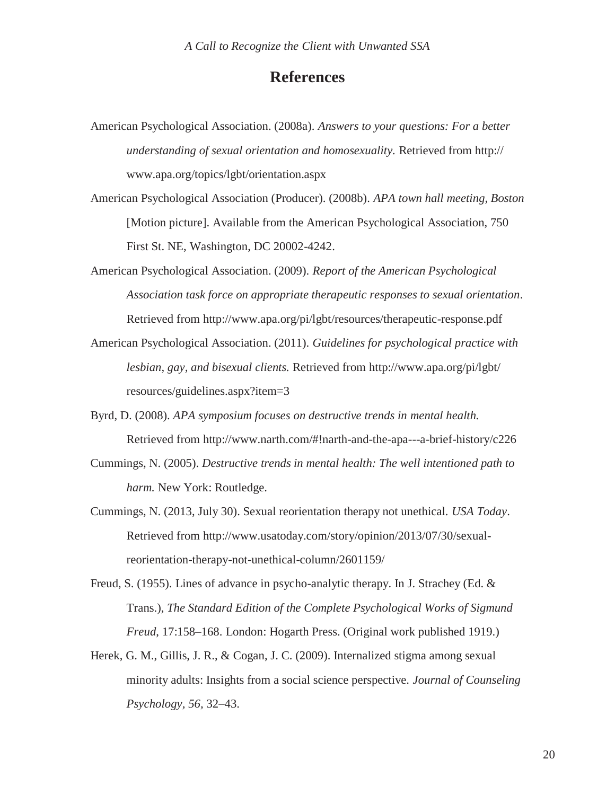### **References**

- American Psychological Association. (2008a). *Answers to your questions: For a better understanding of sexual orientation and homosexuality.* Retrieved from http:// [www.apa.org/topics/lgbt/orientation.aspx](http://www.apa.org/topics/lgbt/orientation.aspx)
- American Psychological Association (Producer). (2008b). *APA town hall meeting, Boston*  [Motion picture]. Available from the American Psychological Association, 750 First St. NE, Washington, DC 20002-4242.
- American Psychological Association. (2009). *Report of the American Psychological Association task force on appropriate therapeutic responses to sexual orientation*. Retrieved from<http://www.apa.org/pi/lgbt/resources/therapeutic-response.pdf>
- American Psychological Association. (2011). *Guidelines for psychological practice with lesbian, gay, and bisexual clients.* Retrieved from<http://www.apa.org/pi/lgbt/> resources/guidelines.aspx?item=3
- Byrd, D. (2008). *APA symposium focuses on destructive trends in mental health.* Retrieved from [http://www.narth.com/#!narth-and-the-apa---a-brief-history/c226](http://www.narth.com/%23!narth-and-the-apa---a-brief-history/c226)
- Cummings, N. (2005). *Destructive trends in mental health: The well intentioned path to harm.* New York: Routledge.
- Cummings, N. (2013, July 30). Sexual reorientation therapy not unethical. *USA Today*. Retrieved from [http://www.usatoday.com/story/opinion/2013/07/30/sexual](http://www.usatoday.com/story/opinion/2013/07/30/sexual-)reorientation-therapy-not-unethical-column/2601159/
- Freud, S. (1955). Lines of advance in psycho-analytic therapy. In J. Strachey (Ed. & Trans.), *The Standard Edition of the Complete Psychological Works of Sigmund Freud*, 17:158–168. London: Hogarth Press. (Original work published 1919.)
- Herek, G. M., Gillis, J. R., & Cogan, J. C. (2009). Internalized stigma among sexual minority adults: Insights from a social science perspective. *Journal of Counseling Psychology, 56,* 32–43.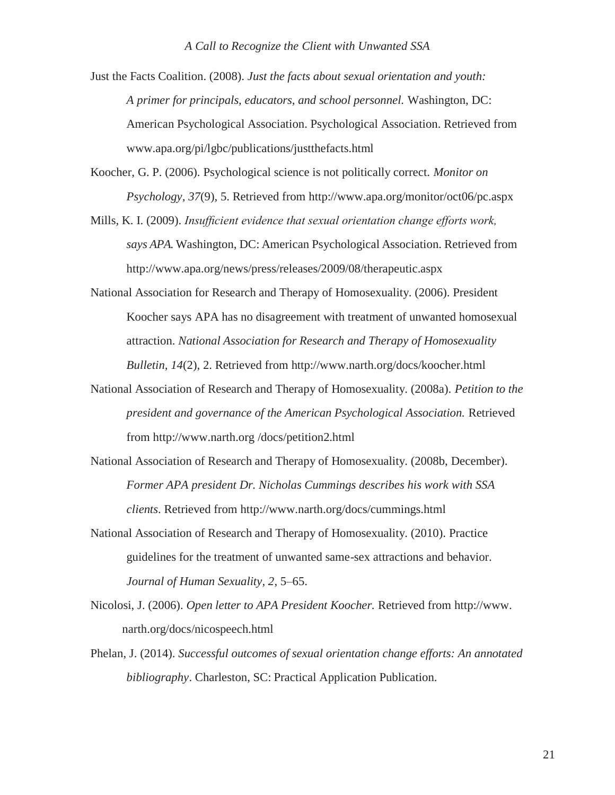Just the Facts Coalition. (2008). *Just the facts about sexual orientation and youth: A primer for principals, educators, and school personnel.* Washington, DC: American Psychological Association. Psychological Association. Retrieved from [www.apa.org/pi/lgbc/publications/justthefacts.html](http://www.apa.org/pi/lgbc/publications/justthefacts.html)

Koocher, G. P. (2006). Psychological science is not politically correct. *Monitor on Psychology, 37*(9), 5. Retrieved from<http://www.apa.org/monitor/oct06/pc.aspx>

- Mills, K. I. (2009). *Insufficient evidence that sexual orientation change efforts work, says APA.* Washington, DC: American Psychological Association. Retrieved from <http://www.apa.org/news/press/releases/2009/08/therapeutic.aspx>
- National Association for Research and Therapy of Homosexuality. (2006). President Koocher says APA has no disagreement with treatment of unwanted homosexual attraction. *National Association for Research and Therapy of Homosexuality Bulletin, 14*(2), 2. Retrieved from<http://www.narth.org/docs/koocher.html>
- National Association of Research and Therapy of Homosexuality. (2008a). *Petition to the president and governance of the American Psychological Association.* Retrieved from [http://www.narth.org](http://www.narth.org/) /docs/petition2.html
- National Association of Research and Therapy of Homosexuality. (2008b, December). *Former APA president Dr. Nicholas Cummings describes his work with SSA clients*. Retrieved from<http://www.narth.org/docs/cummings.html>
- National Association of Research and Therapy of Homosexuality. (2010). Practice guidelines for the treatment of unwanted same-sex attractions and behavior. *Journal of Human Sexuality, 2*, 5–65.
- Nicolosi, J. (2006). *Open letter to APA President Koocher.* Retrieved from [http://www.](http://www/) narth.org/docs/nicospeech.html
- Phelan, J. (2014). *Successful outcomes of sexual orientation change efforts: An annotated bibliography*. Charleston, SC: Practical Application Publication.